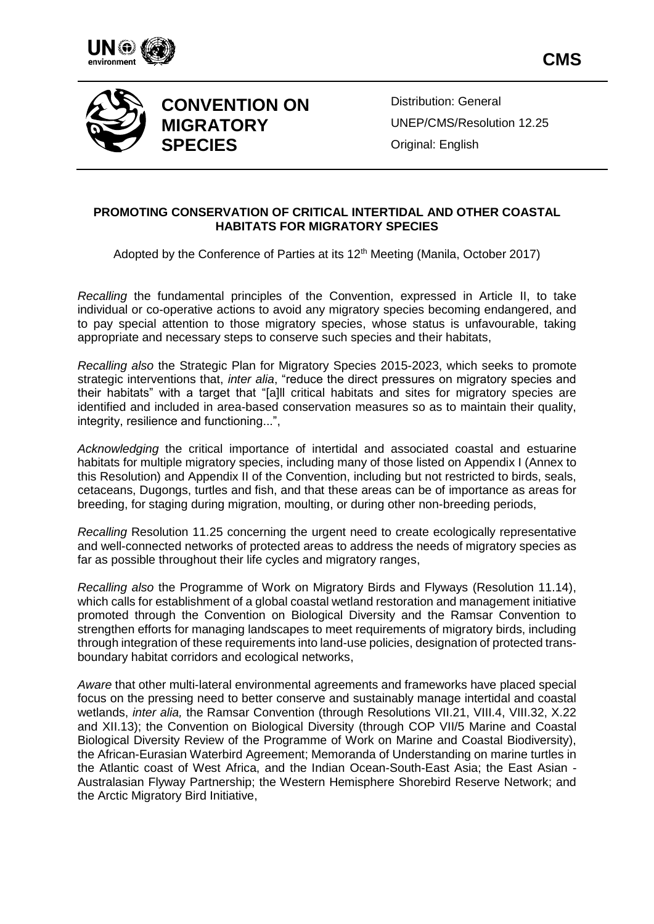





# **CONVENTION ON MIGRATORY SPECIES**

Distribution: General UNEP/CMS/Resolution 12.25 Original: English

#### **PROMOTING CONSERVATION OF CRITICAL INTERTIDAL AND OTHER COASTAL HABITATS FOR MIGRATORY SPECIES**

Adopted by the Conference of Parties at its 12<sup>th</sup> Meeting (Manila, October 2017)

*Recalling* the fundamental principles of the Convention, expressed in Article II, to take individual or co-operative actions to avoid any migratory species becoming endangered, and to pay special attention to those migratory species, whose status is unfavourable, taking appropriate and necessary steps to conserve such species and their habitats,

*Recalling also* the Strategic Plan for Migratory Species 2015-2023, which seeks to promote strategic interventions that, *inter alia*, "reduce the direct pressures on migratory species and their habitats" with a target that "[a]ll critical habitats and sites for migratory species are identified and included in area-based conservation measures so as to maintain their quality, integrity, resilience and functioning...",

*Acknowledging* the critical importance of intertidal and associated coastal and estuarine habitats for multiple migratory species, including many of those listed on Appendix I (Annex to this Resolution) and Appendix II of the Convention, including but not restricted to birds, seals, cetaceans, Dugongs, turtles and fish, and that these areas can be of importance as areas for breeding, for staging during migration, moulting, or during other non-breeding periods,

*Recalling* Resolution 11.25 concerning the urgent need to create ecologically representative and well-connected networks of protected areas to address the needs of migratory species as far as possible throughout their life cycles and migratory ranges,

*Recalling also* the Programme of Work on Migratory Birds and Flyways (Resolution 11.14), which calls for establishment of a global coastal wetland restoration and management initiative promoted through the Convention on Biological Diversity and the Ramsar Convention to strengthen efforts for managing landscapes to meet requirements of migratory birds, including through integration of these requirements into land-use policies, designation of protected transboundary habitat corridors and ecological networks,

*Aware* that other multi-lateral environmental agreements and frameworks have placed special focus on the pressing need to better conserve and sustainably manage intertidal and coastal wetlands, *inter alia,* the Ramsar Convention (through Resolutions VII.21, VIII.4, VIII.32, X.22 and XII.13); the Convention on Biological Diversity (through COP VII/5 Marine and Coastal Biological Diversity Review of the Programme of Work on Marine and Coastal Biodiversity), the African-Eurasian Waterbird Agreement; Memoranda of Understanding on marine turtles in the Atlantic coast of West Africa, and the Indian Ocean-South-East Asia; the East Asian - Australasian Flyway Partnership; the Western Hemisphere Shorebird Reserve Network; and the Arctic Migratory Bird Initiative,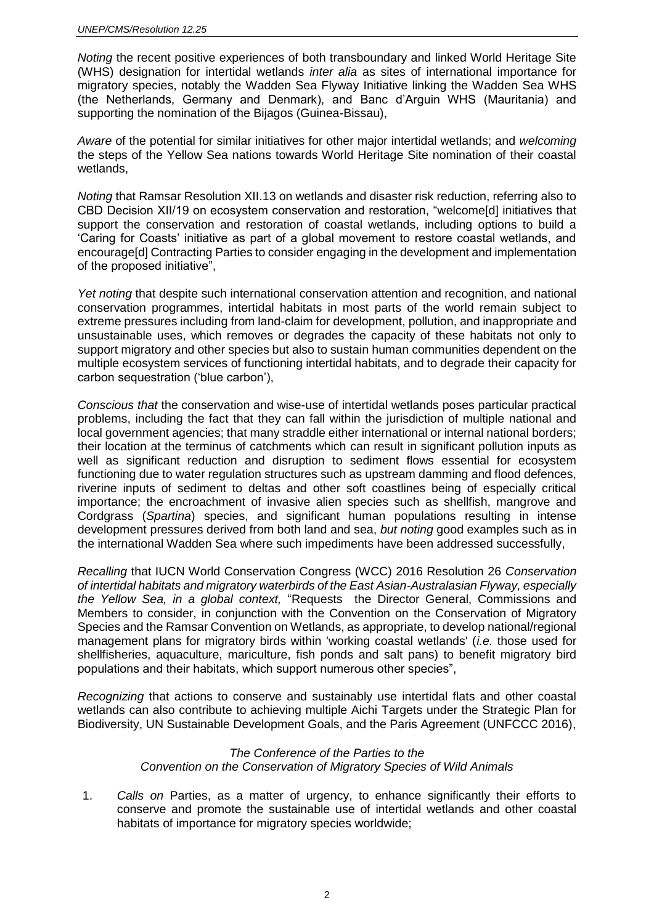*Noting* the recent positive experiences of both transboundary and linked World Heritage Site (WHS) designation for intertidal wetlands *inter alia* as sites of international importance for migratory species, notably the Wadden Sea Flyway Initiative linking the Wadden Sea WHS (the Netherlands, Germany and Denmark), and Banc d'Arguin WHS (Mauritania) and supporting the nomination of the Bijagos (Guinea-Bissau),

*Aware* of the potential for similar initiatives for other major intertidal wetlands; and *welcoming* the steps of the Yellow Sea nations towards World Heritage Site nomination of their coastal wetlands,

*Noting* that Ramsar Resolution XII.13 on wetlands and disaster risk reduction, referring also to CBD Decision XII/19 on ecosystem conservation and restoration, "welcome[d] initiatives that support the conservation and restoration of coastal wetlands, including options to build a 'Caring for Coasts' initiative as part of a global movement to restore coastal wetlands, and encourage[d] Contracting Parties to consider engaging in the development and implementation of the proposed initiative",

Yet noting that despite such international conservation attention and recognition, and national conservation programmes, intertidal habitats in most parts of the world remain subject to extreme pressures including from land-claim for development, pollution, and inappropriate and unsustainable uses, which removes or degrades the capacity of these habitats not only to support migratory and other species but also to sustain human communities dependent on the multiple ecosystem services of functioning intertidal habitats, and to degrade their capacity for carbon sequestration ('blue carbon'),

*Conscious that* the conservation and wise-use of intertidal wetlands poses particular practical problems, including the fact that they can fall within the jurisdiction of multiple national and local government agencies; that many straddle either international or internal national borders; their location at the terminus of catchments which can result in significant pollution inputs as well as significant reduction and disruption to sediment flows essential for ecosystem functioning due to water regulation structures such as upstream damming and flood defences, riverine inputs of sediment to deltas and other soft coastlines being of especially critical importance; the encroachment of invasive alien species such as shellfish, mangrove and Cordgrass (*Spartina*) species, and significant human populations resulting in intense development pressures derived from both land and sea, *but noting* good examples such as in the international Wadden Sea where such impediments have been addressed successfully,

*Recalling* that IUCN World Conservation Congress (WCC) 2016 Resolution 26 *Conservation of intertidal habitats and migratory waterbirds of the East Asian-Australasian Flyway, especially the Yellow Sea, in a global context,* "Requests the Director General, Commissions and Members to consider, in conjunction with the Convention on the Conservation of Migratory Species and the Ramsar Convention on Wetlands, as appropriate, to develop national/regional management plans for migratory birds within 'working coastal wetlands' (*i.e.* those used for shellfisheries, aquaculture, mariculture, fish ponds and salt pans) to benefit migratory bird populations and their habitats, which support numerous other species",

*Recognizing* that actions to conserve and sustainably use intertidal flats and other coastal wetlands can also contribute to achieving multiple Aichi Targets under the Strategic Plan for Biodiversity, UN Sustainable Development Goals, and the Paris Agreement (UNFCCC 2016),

#### *The Conference of the Parties to the Convention on the Conservation of Migratory Species of Wild Animals*

1. *Calls on* Parties, as a matter of urgency, to enhance significantly their efforts to conserve and promote the sustainable use of intertidal wetlands and other coastal habitats of importance for migratory species worldwide;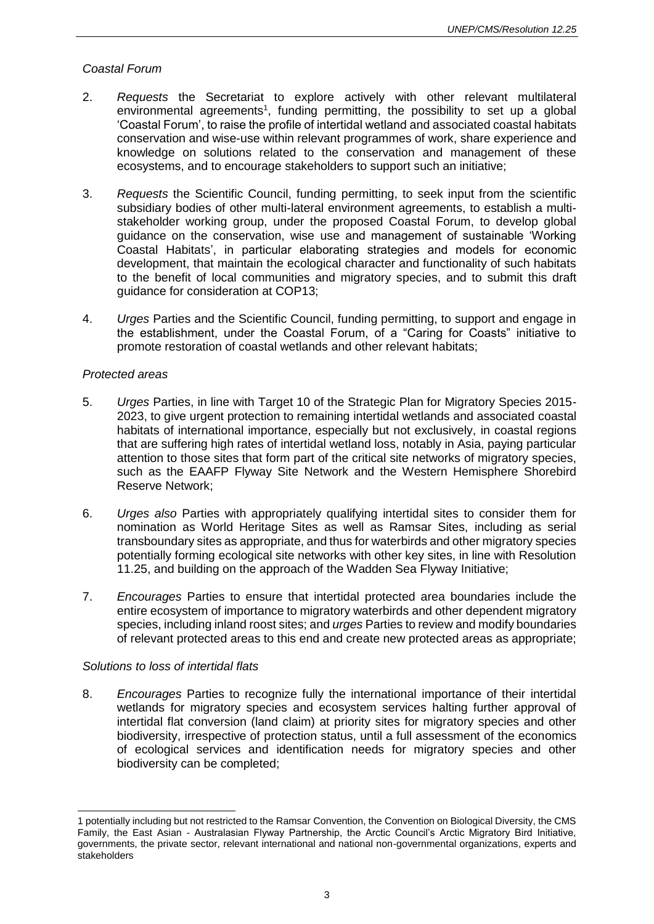#### *Coastal Forum*

- 2. *Requests* the Secretariat to explore actively with other relevant multilateral environmental agreements<sup>1</sup>, funding permitting, the possibility to set up a global 'Coastal Forum', to raise the profile of intertidal wetland and associated coastal habitats conservation and wise-use within relevant programmes of work, share experience and knowledge on solutions related to the conservation and management of these ecosystems, and to encourage stakeholders to support such an initiative;
- 3. *Requests* the Scientific Council, funding permitting, to seek input from the scientific subsidiary bodies of other multi-lateral environment agreements, to establish a multistakeholder working group, under the proposed Coastal Forum, to develop global guidance on the conservation, wise use and management of sustainable 'Working Coastal Habitats', in particular elaborating strategies and models for economic development, that maintain the ecological character and functionality of such habitats to the benefit of local communities and migratory species, and to submit this draft guidance for consideration at COP13;
- 4. *Urges* Parties and the Scientific Council, funding permitting, to support and engage in the establishment, under the Coastal Forum, of a "Caring for Coasts" initiative to promote restoration of coastal wetlands and other relevant habitats;

#### *Protected areas*

- 5. *Urges* Parties, in line with Target 10 of the Strategic Plan for Migratory Species 2015- 2023, to give urgent protection to remaining intertidal wetlands and associated coastal habitats of international importance, especially but not exclusively, in coastal regions that are suffering high rates of intertidal wetland loss, notably in Asia, paying particular attention to those sites that form part of the critical site networks of migratory species, such as the EAAFP Flyway Site Network and the Western Hemisphere Shorebird Reserve Network;
- 6. *Urges also* Parties with appropriately qualifying intertidal sites to consider them for nomination as World Heritage Sites as well as Ramsar Sites, including as serial transboundary sites as appropriate, and thus for waterbirds and other migratory species potentially forming ecological site networks with other key sites, in line with Resolution 11.25, and building on the approach of the Wadden Sea Flyway Initiative;
- 7. *Encourages* Parties to ensure that intertidal protected area boundaries include the entire ecosystem of importance to migratory waterbirds and other dependent migratory species, including inland roost sites; and *urges* Parties to review and modify boundaries of relevant protected areas to this end and create new protected areas as appropriate;

#### *Solutions to loss of intertidal flats*

8. *Encourages* Parties to recognize fully the international importance of their intertidal wetlands for migratory species and ecosystem services halting further approval of intertidal flat conversion (land claim) at priority sites for migratory species and other biodiversity, irrespective of protection status, until a full assessment of the economics of ecological services and identification needs for migratory species and other biodiversity can be completed;

l 1 potentially including but not restricted to the Ramsar Convention, the Convention on Biological Diversity, the CMS Family, the East Asian - Australasian Flyway Partnership, the Arctic Council's Arctic Migratory Bird Initiative, governments, the private sector, relevant international and national non-governmental organizations, experts and stakeholders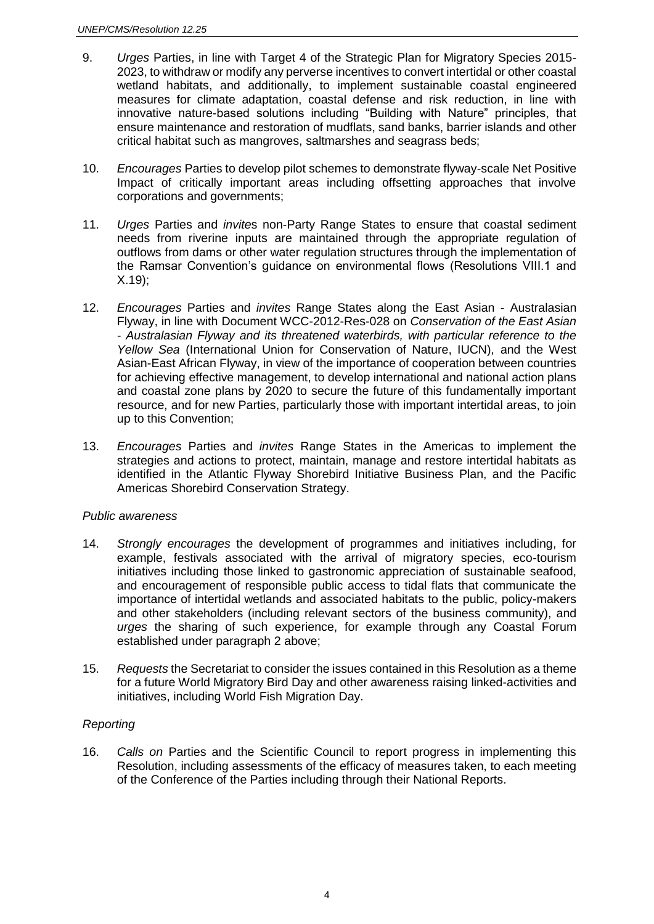- 9. *Urges* Parties, in line with Target 4 of the Strategic Plan for Migratory Species 2015- 2023, to withdraw or modify any perverse incentives to convert intertidal or other coastal wetland habitats, and additionally, to implement sustainable coastal engineered measures for climate adaptation, coastal defense and risk reduction, in line with innovative nature-based solutions including "Building with Nature" principles, that ensure maintenance and restoration of mudflats, sand banks, barrier islands and other critical habitat such as mangroves, saltmarshes and seagrass beds;
- 10. *Encourages* Parties to develop pilot schemes to demonstrate flyway-scale Net Positive Impact of critically important areas including offsetting approaches that involve corporations and governments;
- 11. *Urges* Parties and *invite*s non-Party Range States to ensure that coastal sediment needs from riverine inputs are maintained through the appropriate regulation of outflows from dams or other water regulation structures through the implementation of the Ramsar Convention's guidance on environmental flows (Resolutions VIII.1 and X.19);
- 12. *Encourages* Parties and *invites* Range States along the East Asian Australasian Flyway, in line with Document WCC-2012-Res-028 on *Conservation of the East Asian - Australasian Flyway and its threatened waterbirds, with particular reference to the Yellow Sea* (International Union for Conservation of Nature, IUCN)*,* and the West Asian-East African Flyway, in view of the importance of cooperation between countries for achieving effective management, to develop international and national action plans and coastal zone plans by 2020 to secure the future of this fundamentally important resource, and for new Parties, particularly those with important intertidal areas, to join up to this Convention;
- 13. *Encourages* Parties and *invites* Range States in the Americas to implement the strategies and actions to protect, maintain, manage and restore intertidal habitats as identified in the Atlantic Flyway Shorebird Initiative Business Plan, and the Pacific Americas Shorebird Conservation Strategy.

#### *Public awareness*

- 14. *Strongly encourages* the development of programmes and initiatives including, for example, festivals associated with the arrival of migratory species, eco-tourism initiatives including those linked to gastronomic appreciation of sustainable seafood, and encouragement of responsible public access to tidal flats that communicate the importance of intertidal wetlands and associated habitats to the public, policy-makers and other stakeholders (including relevant sectors of the business community), and *urges* the sharing of such experience, for example through any Coastal Forum established under paragraph 2 above;
- 15. *Requests* the Secretariat to consider the issues contained in this Resolution as a theme for a future World Migratory Bird Day and other awareness raising linked-activities and initiatives, including World Fish Migration Day.

#### *Reporting*

16. *Calls on* Parties and the Scientific Council to report progress in implementing this Resolution, including assessments of the efficacy of measures taken, to each meeting of the Conference of the Parties including through their National Reports.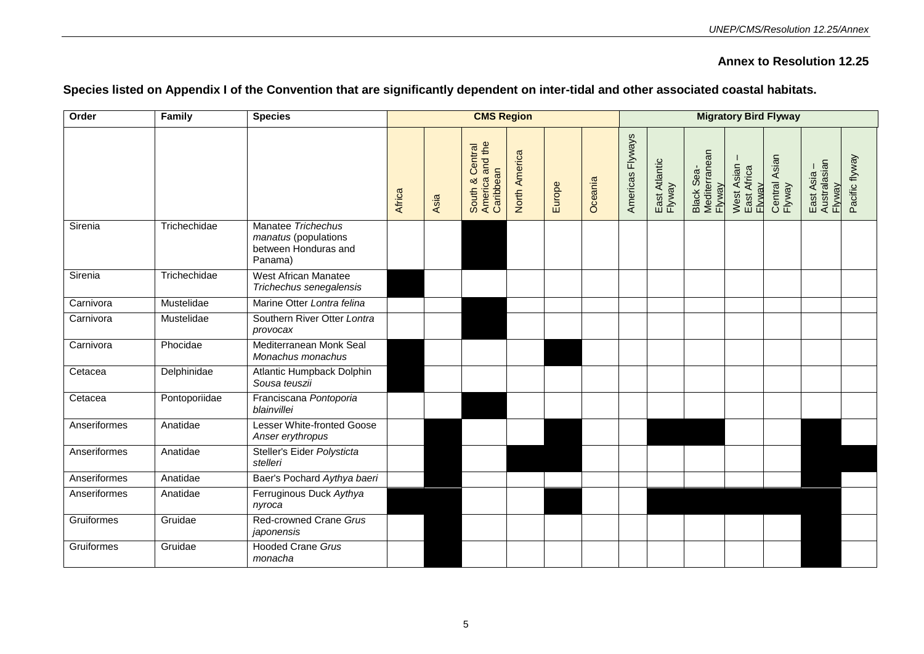### **Annex to Resolution 12.25**

| Order        | Family        | <b>Species</b>                                                                | <b>CMS Region</b> |      |                                                 |               |        |         |                  | <b>Migratory Bird Flyway</b><br>Black Sea-<br>Mediterranean<br>Flyway<br>Central Asian<br>Flyway<br>East Atlantic<br>Flyway<br>East Asia –<br>Australasian<br>Flyway<br>West Asian -<br>East Africa<br>Flyway |  |  |  |  |                |
|--------------|---------------|-------------------------------------------------------------------------------|-------------------|------|-------------------------------------------------|---------------|--------|---------|------------------|---------------------------------------------------------------------------------------------------------------------------------------------------------------------------------------------------------------|--|--|--|--|----------------|
|              |               |                                                                               | Africa            | Asia | South & Central<br>America and the<br>Caribbean | North America | Europe | Oceania | Americas Flyways |                                                                                                                                                                                                               |  |  |  |  | Pacific flyway |
| Sirenia      | Trichechidae  | Manatee Trichechus<br>manatus (populations<br>between Honduras and<br>Panama) |                   |      |                                                 |               |        |         |                  |                                                                                                                                                                                                               |  |  |  |  |                |
| Sirenia      | Trichechidae  | West African Manatee<br>Trichechus senegalensis                               |                   |      |                                                 |               |        |         |                  |                                                                                                                                                                                                               |  |  |  |  |                |
| Carnivora    | Mustelidae    | Marine Otter Lontra felina                                                    |                   |      |                                                 |               |        |         |                  |                                                                                                                                                                                                               |  |  |  |  |                |
| Carnivora    | Mustelidae    | Southern River Otter Lontra<br>provocax                                       |                   |      |                                                 |               |        |         |                  |                                                                                                                                                                                                               |  |  |  |  |                |
| Carnivora    | Phocidae      | Mediterranean Monk Seal<br>Monachus monachus                                  |                   |      |                                                 |               |        |         |                  |                                                                                                                                                                                                               |  |  |  |  |                |
| Cetacea      | Delphinidae   | Atlantic Humpback Dolphin<br>Sousa teuszii                                    |                   |      |                                                 |               |        |         |                  |                                                                                                                                                                                                               |  |  |  |  |                |
| Cetacea      | Pontoporiidae | Franciscana Pontoporia<br>blainvillei                                         |                   |      |                                                 |               |        |         |                  |                                                                                                                                                                                                               |  |  |  |  |                |
| Anseriformes | Anatidae      | <b>Lesser White-fronted Goose</b><br>Anser erythropus                         |                   |      |                                                 |               |        |         |                  |                                                                                                                                                                                                               |  |  |  |  |                |
| Anseriformes | Anatidae      | Steller's Eider Polysticta<br>stelleri                                        |                   |      |                                                 |               |        |         |                  |                                                                                                                                                                                                               |  |  |  |  |                |
| Anseriformes | Anatidae      | Baer's Pochard Aythya baeri                                                   |                   |      |                                                 |               |        |         |                  |                                                                                                                                                                                                               |  |  |  |  |                |
| Anseriformes | Anatidae      | Ferruginous Duck Aythya<br>nyroca                                             |                   |      |                                                 |               |        |         |                  |                                                                                                                                                                                                               |  |  |  |  |                |
| Gruiformes   | Gruidae       | Red-crowned Crane Grus<br>japonensis                                          |                   |      |                                                 |               |        |         |                  |                                                                                                                                                                                                               |  |  |  |  |                |
| Gruiformes   | Gruidae       | <b>Hooded Crane Grus</b><br>monacha                                           |                   |      |                                                 |               |        |         |                  |                                                                                                                                                                                                               |  |  |  |  |                |

## **Species listed on Appendix I of the Convention that are significantly dependent on inter-tidal and other associated coastal habitats.**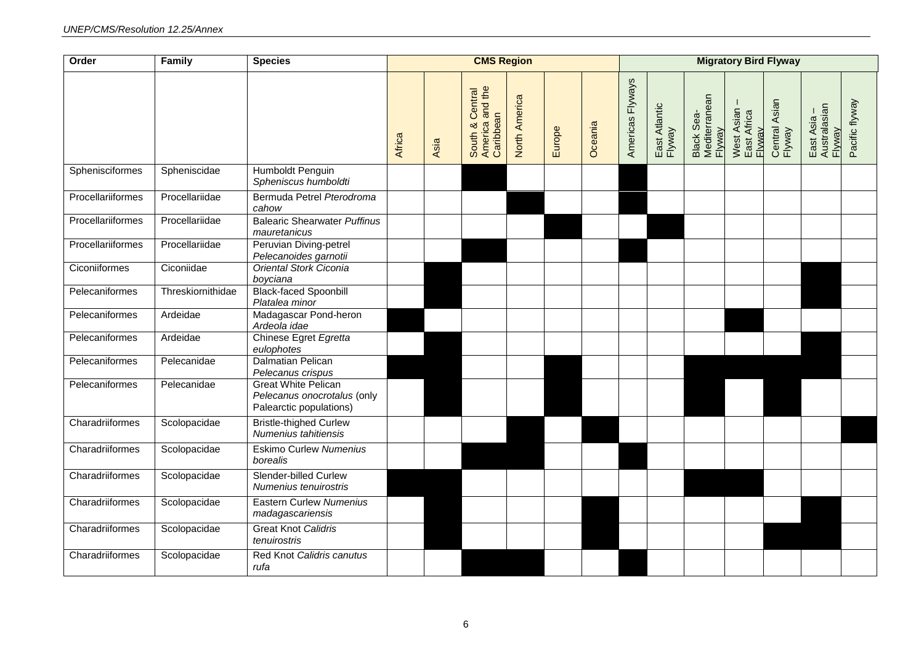| Order             | Family            | <b>Species</b>                                                                       | <b>CMS Region</b> |      |                                                 |               |        |         |                  |                         | <b>Migratory Bird Flyway</b>          |                                     |                         |                                       |                |
|-------------------|-------------------|--------------------------------------------------------------------------------------|-------------------|------|-------------------------------------------------|---------------|--------|---------|------------------|-------------------------|---------------------------------------|-------------------------------------|-------------------------|---------------------------------------|----------------|
|                   |                   |                                                                                      | Africa            | Asia | South & Central<br>America and the<br>Caribbean | North America | Europe | Oceania | Americas Flyways | East Atlantic<br>Flyway | Black Sea-<br>Mediterranean<br>Flyway | West Asian<br>East Africa<br>Flyway | Central Asian<br>Flyway | East Asia –<br>Australasian<br>Flyway | Pacific flyway |
| Sphenisciformes   | Spheniscidae      | Humboldt Penguin<br>Spheniscus humboldti                                             |                   |      |                                                 |               |        |         |                  |                         |                                       |                                     |                         |                                       |                |
| Procellariiformes | Procellariidae    | Bermuda Petrel Pterodroma<br>cahow                                                   |                   |      |                                                 |               |        |         |                  |                         |                                       |                                     |                         |                                       |                |
| Procellariiformes | Procellariidae    | <b>Balearic Shearwater Puffinus</b><br>mauretanicus                                  |                   |      |                                                 |               |        |         |                  |                         |                                       |                                     |                         |                                       |                |
| Procellariiformes | Procellariidae    | Peruvian Diving-petrel<br>Pelecanoides garnotii                                      |                   |      |                                                 |               |        |         |                  |                         |                                       |                                     |                         |                                       |                |
| Ciconiiformes     | Ciconiidae        | Oriental Stork Ciconia<br>boyciana                                                   |                   |      |                                                 |               |        |         |                  |                         |                                       |                                     |                         |                                       |                |
| Pelecaniformes    | Threskiornithidae | <b>Black-faced Spoonbill</b><br>Platalea minor                                       |                   |      |                                                 |               |        |         |                  |                         |                                       |                                     |                         |                                       |                |
| Pelecaniformes    | Ardeidae          | Madagascar Pond-heron<br>Ardeola idae                                                |                   |      |                                                 |               |        |         |                  |                         |                                       |                                     |                         |                                       |                |
| Pelecaniformes    | Ardeidae          | Chinese Egret Egretta<br>eulophotes                                                  |                   |      |                                                 |               |        |         |                  |                         |                                       |                                     |                         |                                       |                |
| Pelecaniformes    | Pelecanidae       | Dalmatian Pelican<br>Pelecanus crispus                                               |                   |      |                                                 |               |        |         |                  |                         |                                       |                                     |                         |                                       |                |
| Pelecaniformes    | Pelecanidae       | <b>Great White Pelican</b><br>Pelecanus onocrotalus (only<br>Palearctic populations) |                   |      |                                                 |               |        |         |                  |                         |                                       |                                     |                         |                                       |                |
| Charadriiformes   | Scolopacidae      | <b>Bristle-thighed Curlew</b><br>Numenius tahitiensis                                |                   |      |                                                 |               |        |         |                  |                         |                                       |                                     |                         |                                       |                |
| Charadriiformes   | Scolopacidae      | <b>Eskimo Curlew Numenius</b><br>borealis                                            |                   |      |                                                 |               |        |         |                  |                         |                                       |                                     |                         |                                       |                |
| Charadriiformes   | Scolopacidae      | <b>Slender-billed Curlew</b><br>Numenius tenuirostris                                |                   |      |                                                 |               |        |         |                  |                         |                                       |                                     |                         |                                       |                |
| Charadriiformes   | Scolopacidae      | <b>Eastern Curlew Numenius</b><br>madagascariensis                                   |                   |      |                                                 |               |        |         |                  |                         |                                       |                                     |                         |                                       |                |
| Charadriiformes   | Scolopacidae      | <b>Great Knot Calidris</b><br>tenuirostris                                           |                   |      |                                                 |               |        |         |                  |                         |                                       |                                     |                         |                                       |                |
| Charadriiformes   | Scolopacidae      | Red Knot Calidris canutus<br>rufa                                                    |                   |      |                                                 |               |        |         |                  |                         |                                       |                                     |                         |                                       |                |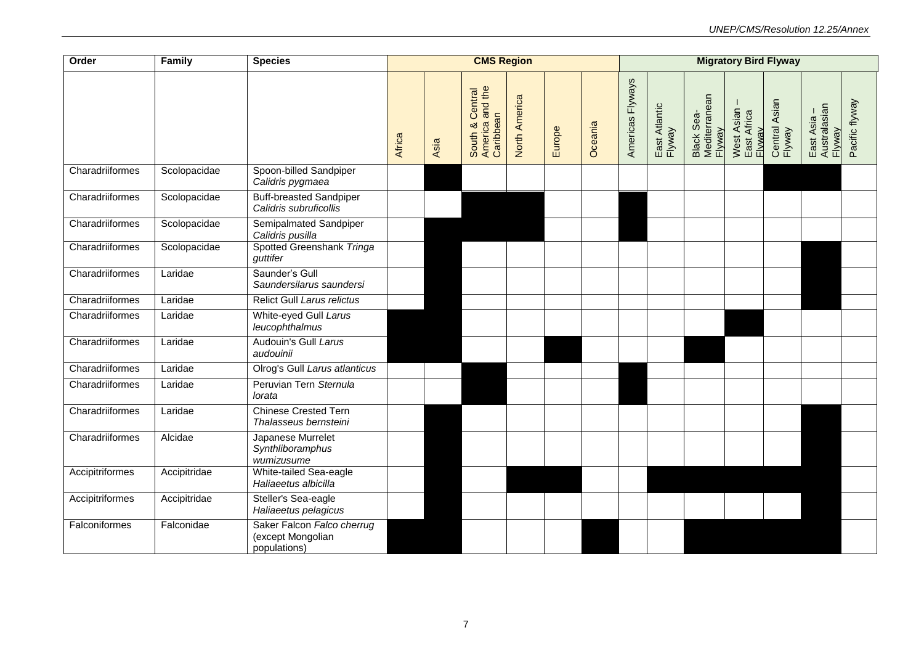| Order           | Family       | <b>Species</b>                                                  |        |      | <b>CMS Region</b>                               |               |        |         | <b>Migratory Bird Flyway</b> |                         |                                       |                                     |                         |                                       |                |  |
|-----------------|--------------|-----------------------------------------------------------------|--------|------|-------------------------------------------------|---------------|--------|---------|------------------------------|-------------------------|---------------------------------------|-------------------------------------|-------------------------|---------------------------------------|----------------|--|
|                 |              |                                                                 | Africa | Asia | South & Central<br>America and the<br>Caribbean | North America | Europe | Oceania | Americas Flyways             | East Atlantic<br>Flyway | Black Sea-<br>Mediterranean<br>Flyway | West Asian<br>East Africa<br>Flwwav | Central Asian<br>Flyway | East Asia –<br>Australasian<br>Flyway | Pacific flyway |  |
| Charadriiformes | Scolopacidae | Spoon-billed Sandpiper<br>Calidris pygmaea                      |        |      |                                                 |               |        |         |                              |                         |                                       |                                     |                         |                                       |                |  |
| Charadriiformes | Scolopacidae | <b>Buff-breasted Sandpiper</b><br>Calidris subruficollis        |        |      |                                                 |               |        |         |                              |                         |                                       |                                     |                         |                                       |                |  |
| Charadriiformes | Scolopacidae | Semipalmated Sandpiper<br>Calidris pusilla                      |        |      |                                                 |               |        |         |                              |                         |                                       |                                     |                         |                                       |                |  |
| Charadriiformes | Scolopacidae | Spotted Greenshank Tringa<br>guttifer                           |        |      |                                                 |               |        |         |                              |                         |                                       |                                     |                         |                                       |                |  |
| Charadriiformes | Laridae      | Saunder's Gull<br>Saundersilarus saundersi                      |        |      |                                                 |               |        |         |                              |                         |                                       |                                     |                         |                                       |                |  |
| Charadriiformes | Laridae      | Relict Gull Larus relictus                                      |        |      |                                                 |               |        |         |                              |                         |                                       |                                     |                         |                                       |                |  |
| Charadriiformes | Laridae      | White-eyed Gull Larus<br>leucophthalmus                         |        |      |                                                 |               |        |         |                              |                         |                                       |                                     |                         |                                       |                |  |
| Charadriiformes | Laridae      | Audouin's Gull Larus<br>audouinii                               |        |      |                                                 |               |        |         |                              |                         |                                       |                                     |                         |                                       |                |  |
| Charadriiformes | Laridae      | Olrog's Gull Larus atlanticus                                   |        |      |                                                 |               |        |         |                              |                         |                                       |                                     |                         |                                       |                |  |
| Charadriiformes | Laridae      | Peruvian Tern Sternula<br>lorata                                |        |      |                                                 |               |        |         |                              |                         |                                       |                                     |                         |                                       |                |  |
| Charadriiformes | Laridae      | <b>Chinese Crested Tern</b><br>Thalasseus bernsteini            |        |      |                                                 |               |        |         |                              |                         |                                       |                                     |                         |                                       |                |  |
| Charadriiformes | Alcidae      | Japanese Murrelet<br>Synthliboramphus<br>wumizusume             |        |      |                                                 |               |        |         |                              |                         |                                       |                                     |                         |                                       |                |  |
| Accipitriformes | Accipitridae | White-tailed Sea-eagle<br>Haliaeetus albicilla                  |        |      |                                                 |               |        |         |                              |                         |                                       |                                     |                         |                                       |                |  |
| Accipitriformes | Accipitridae | Steller's Sea-eagle<br>Haliaeetus pelagicus                     |        |      |                                                 |               |        |         |                              |                         |                                       |                                     |                         |                                       |                |  |
| Falconiformes   | Falconidae   | Saker Falcon Falco cherrug<br>(except Mongolian<br>populations) |        |      |                                                 |               |        |         |                              |                         |                                       |                                     |                         |                                       |                |  |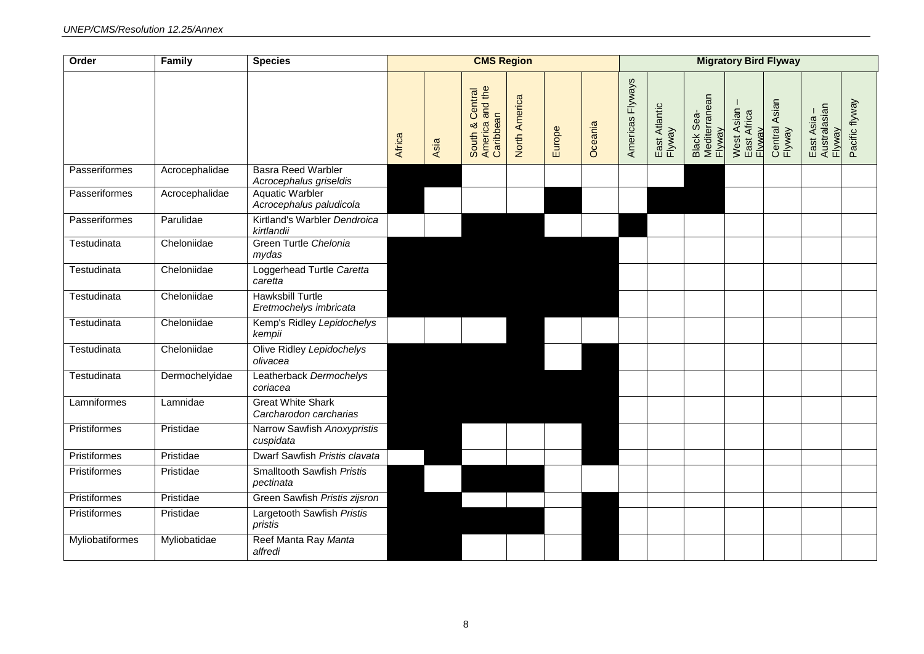| Order               | Family         | <b>Species</b>                                      | <b>CMS Region</b> |      |                                                 |               |        |         |                  |                         |                                       |                                     | <b>Migratory Bird Flyway</b> |                                     |                |  |  |
|---------------------|----------------|-----------------------------------------------------|-------------------|------|-------------------------------------------------|---------------|--------|---------|------------------|-------------------------|---------------------------------------|-------------------------------------|------------------------------|-------------------------------------|----------------|--|--|
|                     |                |                                                     | Africa            | Asia | America and the<br>South & Central<br>Caribbean | North America | Europe | Oceania | Americas Flyways | East Atlantic<br>Flyway | Black Sea-<br>Mediterranean<br>Flyway | West Asian<br>East Africa<br>Flyway | Central Asian<br>Flyway      | Australasian<br>East Asia<br>Flyway | Pacific flyway |  |  |
| Passeriformes       | Acrocephalidae | <b>Basra Reed Warbler</b><br>Acrocephalus griseldis |                   |      |                                                 |               |        |         |                  |                         |                                       |                                     |                              |                                     |                |  |  |
| Passeriformes       | Acrocephalidae | <b>Aquatic Warbler</b><br>Acrocephalus paludicola   |                   |      |                                                 |               |        |         |                  |                         |                                       |                                     |                              |                                     |                |  |  |
| Passeriformes       | Parulidae      | Kirtland's Warbler Dendroica<br>kirtlandii          |                   |      |                                                 |               |        |         |                  |                         |                                       |                                     |                              |                                     |                |  |  |
| Testudinata         | Cheloniidae    | Green Turtle Chelonia<br>mydas                      |                   |      |                                                 |               |        |         |                  |                         |                                       |                                     |                              |                                     |                |  |  |
| Testudinata         | Cheloniidae    | Loggerhead Turtle Caretta<br>caretta                |                   |      |                                                 |               |        |         |                  |                         |                                       |                                     |                              |                                     |                |  |  |
| Testudinata         | Cheloniidae    | <b>Hawksbill Turtle</b><br>Eretmochelys imbricata   |                   |      |                                                 |               |        |         |                  |                         |                                       |                                     |                              |                                     |                |  |  |
| Testudinata         | Cheloniidae    | Kemp's Ridley Lepidochelys<br>kempii                |                   |      |                                                 |               |        |         |                  |                         |                                       |                                     |                              |                                     |                |  |  |
| Testudinata         | Cheloniidae    | Olive Ridley Lepidochelys<br>olivacea               |                   |      |                                                 |               |        |         |                  |                         |                                       |                                     |                              |                                     |                |  |  |
| Testudinata         | Dermochelyidae | Leatherback Dermochelys<br>coriacea                 |                   |      |                                                 |               |        |         |                  |                         |                                       |                                     |                              |                                     |                |  |  |
| Lamniformes         | Lamnidae       | <b>Great White Shark</b><br>Carcharodon carcharias  |                   |      |                                                 |               |        |         |                  |                         |                                       |                                     |                              |                                     |                |  |  |
| Pristiformes        | Pristidae      | Narrow Sawfish Anoxypristis<br>cuspidata            |                   |      |                                                 |               |        |         |                  |                         |                                       |                                     |                              |                                     |                |  |  |
| <b>Pristiformes</b> | Pristidae      | Dwarf Sawfish Pristis clavata                       |                   |      |                                                 |               |        |         |                  |                         |                                       |                                     |                              |                                     |                |  |  |
| Pristiformes        | Pristidae      | <b>Smalltooth Sawfish Pristis</b><br>pectinata      |                   |      |                                                 |               |        |         |                  |                         |                                       |                                     |                              |                                     |                |  |  |
| <b>Pristiformes</b> | Pristidae      | Green Sawfish Pristis zijsron                       |                   |      |                                                 |               |        |         |                  |                         |                                       |                                     |                              |                                     |                |  |  |
| Pristiformes        | Pristidae      | Largetooth Sawfish Pristis<br>pristis               |                   |      |                                                 |               |        |         |                  |                         |                                       |                                     |                              |                                     |                |  |  |
| Myliobatiformes     | Myliobatidae   | Reef Manta Ray Manta<br>alfredi                     |                   |      |                                                 |               |        |         |                  |                         |                                       |                                     |                              |                                     |                |  |  |